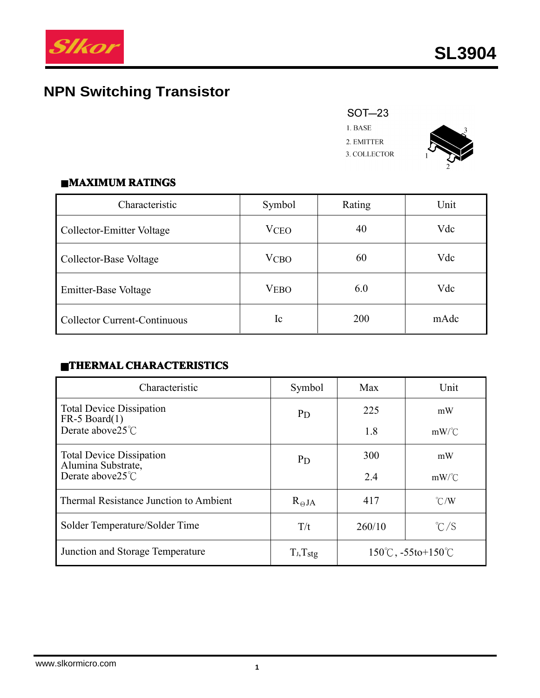

# **NPN Switching Transistor**

## **SOT-23**

 $1.$  BASE 2. EMITTER 3. COLLECTOR



#### $MAXIMUM RATINGS$

| Characteristic                      | Symbol      | Rating | Unit |
|-------------------------------------|-------------|--------|------|
| Collector-Emitter Voltage           | <b>VCEO</b> | 40     | Vdc  |
| Collector-Base Voltage              | <b>VCBO</b> | 60     | Vdc  |
| <b>Emitter-Base Voltage</b>         | <b>VEBO</b> | 6.0    | Vdc  |
| <b>Collector Current-Continuous</b> | Ic          | 200    | mAdc |

## $\blacksquare$ **THERMAL CHARACTERISTICS**

| Characteristic                                        | Symbol          | Max                                        | Unit          |
|-------------------------------------------------------|-----------------|--------------------------------------------|---------------|
| <b>Total Device Dissipation</b><br>$FR-5$ Board $(1)$ | <b>P</b> D      | 225                                        | mW            |
| Derate above $25^{\circ}$ C                           |                 | 1.8                                        | $mW$ /°C      |
| <b>Total Device Dissipation</b><br>Alumina Substrate, | <b>P</b> D      | 300                                        | mW            |
| Derate above25°C                                      |                 | 2.4                                        | $mW$ /°C      |
| Thermal Resistance Junction to Ambient                | $R_{\Theta}$ JA | 417                                        | $\degree$ C/W |
| Solder Temperature/Solder Time                        | T/t             | 260/10                                     | $\degree$ C/S |
| Junction and Storage Temperature                      | $T_J, T_{stg}$  | $150^{\circ}$ C, $-55$ to $+150^{\circ}$ C |               |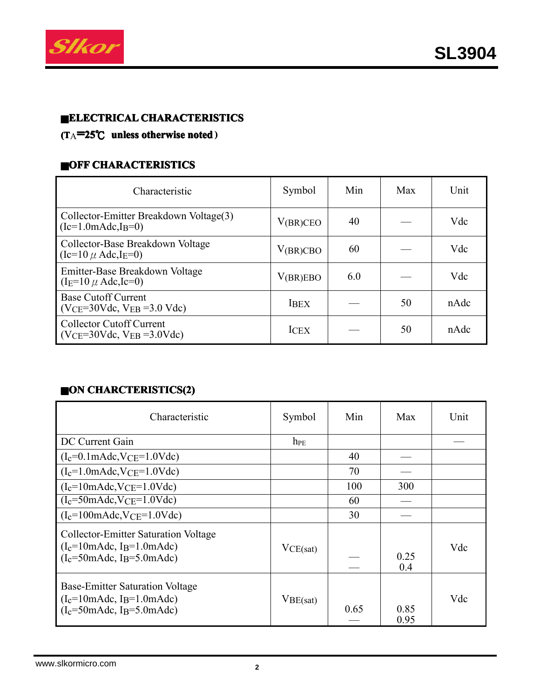

#### ■**ELECTRICAL ELECTRICALCHARACTERISTICS CHARACTERISTICS**

#### **(T**A**<sup>=</sup>25**℃ **unless otherwise noted )**

#### **CHARACTERISTICS**

| Characteristic                                                                                  | Symbol        | Min | Max | Unit |
|-------------------------------------------------------------------------------------------------|---------------|-----|-----|------|
| Collector-Emitter Breakdown Voltage(3)<br>$(Ic=1.0 \text{m} \text{A} \text{d} \text{c}, I_B=0)$ | $V_{(BR)CEO}$ | 40  |     | Vdc  |
| Collector-Base Breakdown Voltage<br>$(Ic=10 \mu \text{ Adc}, IE=0)$                             | V(BR)CBO      | 60  |     | Vdc  |
| Emitter-Base Breakdown Voltage<br>$(I_E=10 \mu \text{ Adc}, Ic=0)$                              | V(BR)EBO      | 6.0 |     | Vdc  |
| <b>Base Cutoff Current</b><br>$(VCE = 30Vdc, VEB = 3.0 Vdc)$                                    | <b>IBEX</b>   |     | 50  | nAdc |
| <b>Collector Cutoff Current</b><br>$(VCE=30Vdc, VEB = 3.0Vdc)$                                  | <b>ICEX</b>   |     | 50  | nAdc |

## ■**ON CHARCTERISTICS(2) CHARCTERISTICS(2)**

| Characteristic                                                                                                                                           | Symbol   | Min  | Max          | Unit |
|----------------------------------------------------------------------------------------------------------------------------------------------------------|----------|------|--------------|------|
| DC Current Gain                                                                                                                                          | $h_{PE}$ |      |              |      |
| $(I_c=0.1 \text{m} \text{Adc}, V_{CE}=1.0 \text{Vdc})$                                                                                                   |          | 40   |              |      |
| $(I_c=1.0 \text{m} \text{Adc}, V_{CE}=1.0 \text{Vdc})$                                                                                                   |          | 70   |              |      |
| $(I_c=10 \text{m} \text{Adc}, V_{CE}=1.0 \text{Vdc})$                                                                                                    |          | 100  | 300          |      |
| $(I_c = 50$ mAdc, VCE=1.0Vdc)                                                                                                                            |          | 60   |              |      |
| $(I_c=100 \text{m} \text{Adc}, V_{CE}=1.0 \text{Vdc})$                                                                                                   |          | 30   |              |      |
| <b>Collector-Emitter Saturation Voltage</b><br>$(I_c=10 \text{m} \text{Ad}c, I_B=1.0 \text{m} \text{Ad}c)$<br>$(I_c = 50$ mAdc, I <sub>B</sub> =5.0mAdc) | VCE(sat) |      | 0.25<br>0.4  | Vdc  |
| <b>Base-Emitter Saturation Voltage</b><br>$(I_c=10 \text{m} \text{Ad}c, I_B=1.0 \text{m} \text{Ad}c)$<br>$(I_c = 50$ mAdc, I <sub>B</sub> =5.0mAdc)      | VBE(sat) | 0.65 | 0.85<br>0.95 | Vdc  |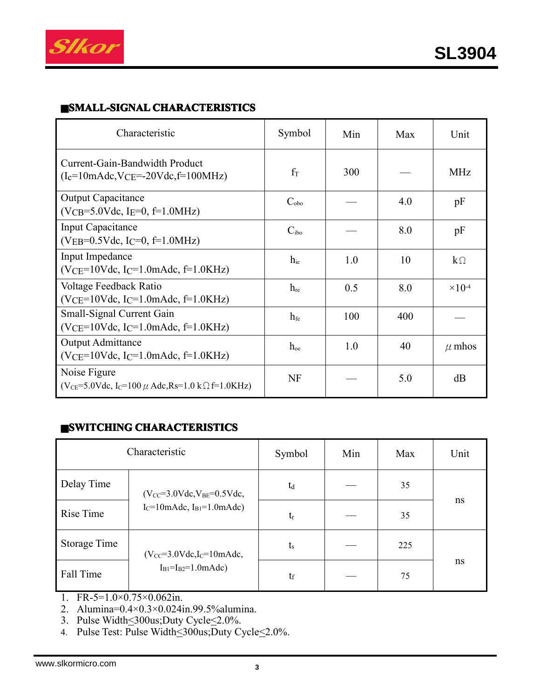

#### ■**SMALL-SIGNAL SMALL-SIGNALCHARACTERISTICS CHARACTERISTICS**

| Characteristic                                                                                                                                   | Symbol           | Min | Max | Unit                      |
|--------------------------------------------------------------------------------------------------------------------------------------------------|------------------|-----|-----|---------------------------|
| Current-Gain-Bandwidth Product<br>$(I_c=10 \text{m} \text{A} \text{d} \text{c}, V_{\text{CE}}=-20 \text{V} \text{d} \text{c}, f=100 \text{MHz})$ | $f_T$            | 300 |     | <b>MHz</b>                |
| <b>Output Capacitance</b><br>$(VCB = 5.0 Vdc, IE = 0, f=1.0 MHz)$                                                                                | $C_{\rm obo}$    |     | 4.0 | pF                        |
| <b>Input Capacitance</b><br>$(VEB=0.5Vdc, IC=0, f=1.0MHz)$                                                                                       | C <sub>ibo</sub> |     | 8.0 | pF                        |
| Input Impedance<br>$(VCE=10Vdc, IC=1.0mAdc, f=1.0KHz)$                                                                                           | $h_{ie}$         | 1.0 | 10  | $k\Omega$                 |
| Voltage Feedback Ratio<br>$(VCE=10Vdc, IC=1.0mAdc, f=1.0KHz)$                                                                                    | $h_{\text{re}}$  | 0.5 | 8.0 | $\times$ 10 <sup>-4</sup> |
| Small-Signal Current Gain<br>$(VCE=10Vdc, IC=1.0mAdc, f=1.0KHz)$                                                                                 | $h_{\text{fe}}$  | 100 | 400 |                           |
| <b>Output Admittance</b><br>$(VCE=10Vdc, IC=1.0mAdc, f=1.0KHz)$                                                                                  | $h_{oe}$         | 1.0 | 40  | $\mu$ mhos                |
| Noise Figure<br>$(V_{CE} = 5.0 Vdc, I_C = 100 \mu \text{ Adc}, Rs = 1.0 k \Omega f = 1.0 KHz)$                                                   | <b>NF</b>        |     | 5.0 | dB                        |

#### ■**SWITCHING CHARACTERISTICS CHARACTERISTICS CHARACTERISTICS**

| Characteristic |                                                                      | Symbol      | Min | Max | Unit |
|----------------|----------------------------------------------------------------------|-------------|-----|-----|------|
| Delay Time     | $(V_{CC} = 3.0 Vdc, V_{BE} = 0.5 Vdc,$                               | $t_d$       |     | 35  |      |
| Rise Time      | $I_C=10$ mAdc, $I_{B1}=1.0$ mAdc)                                    | $t_{r}$     |     | 35  | ns   |
| Storage Time   | $(V_{CC} = 3.0 Vdc, I_C = 10 mAdc,$<br>$I_{B1} = I_{B2} = 1.0$ mAdc) | $t_{\rm s}$ |     | 225 |      |
| Fall Time      |                                                                      | $t_{\rm f}$ |     | 75  | ns   |

- 1. FR-5=1.0×0.75×0.062in.
- 2. Alumina=0.4×0.3×0.024in.99.5%alumina.
- 3. Pulse Width<300us;Duty Cycle<2.0%.
- 4. Pulse Test: Pulse Width \lequity Cycle \lequity Cycle \lequity Cycle \lequity Cycle \lequity Cycle \lequity Cycle \lequity Cycle \lequity Cycle \lequity Cycle \lequity Cycle \lequity Cycle \lequity Cycle \lequity Cycle